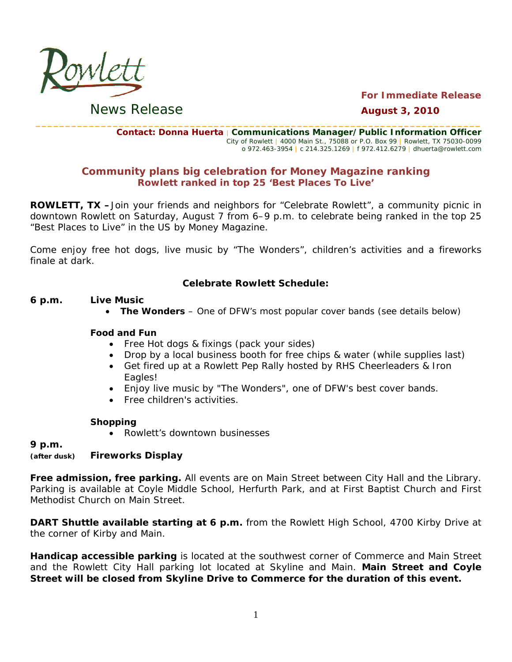

**For Immediate Release August 3, 2010** 

**News Release** 

Contact: Donna Huerta | Communications Manager/Public Information Officer City of Rowlett | 4000 Main St., 75088 or P.O. Box 99 | Rowlett, TX 75030-0099 o 972.463-3954 | c 214.325.1269 | f 972.412.6279 | dhuerta@rowlett.com

## **Community plans big celebration for Money Magazine ranking** Rowlett ranked in top 25 'Best Places To Live'

**ROWLETT, TX** -Join your friends and neighbors for "Celebrate Rowlett", a community picnic in downtown Rowlett on Saturday, August 7 from 6-9 p.m. to celebrate being ranked in the top 25 "Best Places to Live" in the US by Money Magazine.

Come enjoy free hot dogs, live music by "The Wonders", children's activities and a fireworks finale at dark.

### **Celebrate Rowlett Schedule:**

#### 6 p.m. **Live Music**

• The Wonders – One of DFW's most popular cover bands (see details below)

### **Food and Fun**

- Free Hot dogs & fixings (pack your sides)
- Drop by a local business booth for free chips & water (while supplies last)
- Get fired up at a Rowlett Pep Rally hosted by RHS Cheerleaders & Iron Eagles!
- Enjoy live music by "The Wonders", one of DFW's best cover bands.
- Free children's activities.

### **Shopping**

• Rowlett's downtown businesses

9 p.m.

#### **Fireworks Display** (after dusk)

Free admission, free parking. All events are on Main Street between City Hall and the Library. Parking is available at Coyle Middle School, Herfurth Park, and at First Baptist Church and First Methodist Church on Main Street.

**DART Shuttle available starting at 6 p.m.** from the Rowlett High School, 4700 Kirby Drive at the corner of Kirby and Main.

Handicap accessible parking is located at the southwest corner of Commerce and Main Street and the Rowlett City Hall parking lot located at Skyline and Main. Main Street and Coyle Street will be closed from Skyline Drive to Commerce for the duration of this event.